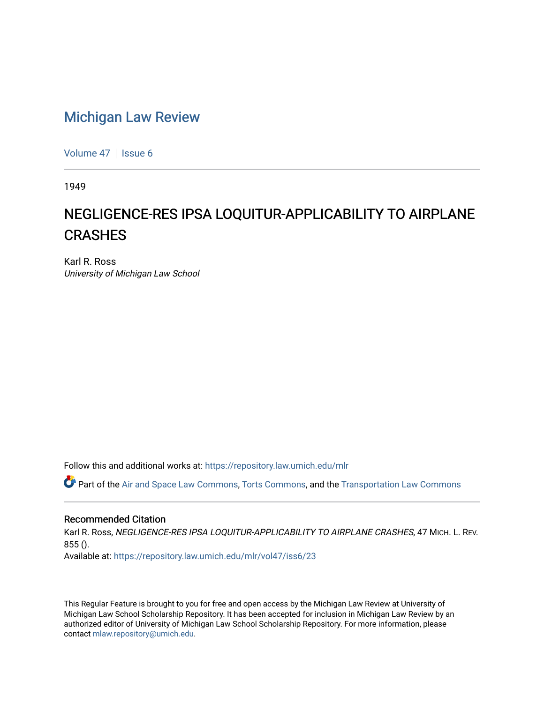## [Michigan Law Review](https://repository.law.umich.edu/mlr)

[Volume 47](https://repository.law.umich.edu/mlr/vol47) | [Issue 6](https://repository.law.umich.edu/mlr/vol47/iss6)

1949

## NEGLIGENCE-RES IPSA LOQUITUR-APPLICABILITY TO AIRPLANE **CRASHES**

Karl R. Ross University of Michigan Law School

Follow this and additional works at: [https://repository.law.umich.edu/mlr](https://repository.law.umich.edu/mlr?utm_source=repository.law.umich.edu%2Fmlr%2Fvol47%2Fiss6%2F23&utm_medium=PDF&utm_campaign=PDFCoverPages) 

Part of the [Air and Space Law Commons](http://network.bepress.com/hgg/discipline/830?utm_source=repository.law.umich.edu%2Fmlr%2Fvol47%2Fiss6%2F23&utm_medium=PDF&utm_campaign=PDFCoverPages), [Torts Commons](http://network.bepress.com/hgg/discipline/913?utm_source=repository.law.umich.edu%2Fmlr%2Fvol47%2Fiss6%2F23&utm_medium=PDF&utm_campaign=PDFCoverPages), and the [Transportation Law Commons](http://network.bepress.com/hgg/discipline/885?utm_source=repository.law.umich.edu%2Fmlr%2Fvol47%2Fiss6%2F23&utm_medium=PDF&utm_campaign=PDFCoverPages)

## Recommended Citation

Karl R. Ross, NEGLIGENCE-RES IPSA LOQUITUR-APPLICABILITY TO AIRPLANE CRASHES, 47 MICH. L. REV. 855 ().

Available at: [https://repository.law.umich.edu/mlr/vol47/iss6/23](https://repository.law.umich.edu/mlr/vol47/iss6/23?utm_source=repository.law.umich.edu%2Fmlr%2Fvol47%2Fiss6%2F23&utm_medium=PDF&utm_campaign=PDFCoverPages) 

This Regular Feature is brought to you for free and open access by the Michigan Law Review at University of Michigan Law School Scholarship Repository. It has been accepted for inclusion in Michigan Law Review by an authorized editor of University of Michigan Law School Scholarship Repository. For more information, please contact [mlaw.repository@umich.edu](mailto:mlaw.repository@umich.edu).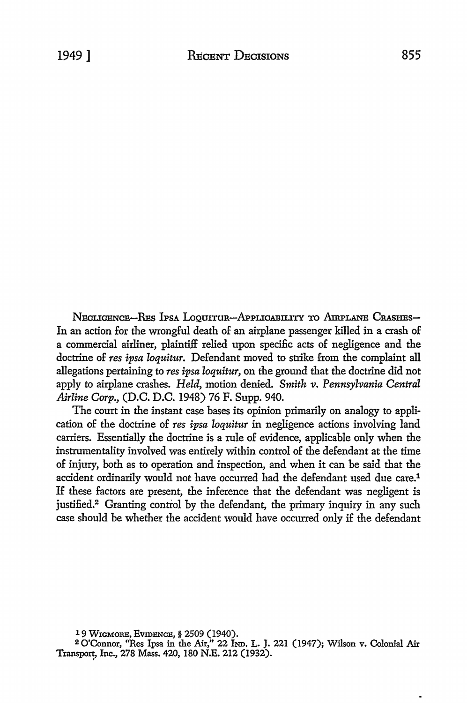NEGLIGENCE-RES lPSA loQUITUR-APPLICABILITY TO AmPLANE CRASHES-In an action for the wrongful death of an airplane passenger killed in a crash of a commercial airliner, plaintiff relied upon specific acts of negligence and the doctrine of *res ipsa loquitur.* Defendant moved to strike from the complaint all allegations pertaining to *res ipsa loquitur,* on the ground that the doctrine did not apply to airplane crashes. *Held,* motion denied. *Smith v. Pennsylvania Central Airline Corp.,* (D.C. D.C. 1948) 76 F. Supp. 940.

The court in the instant case bases its opinion primarily on analogy to application of the doctrine of *res ipsa loquitur* in negligence actions involving land carriers. Essentially the doctrine is a rule of evidence, applicable only when the instrumentality involved was entirely within control of the defendant at the time of injury, both as *to* operation and inspection, and when it can be said that the accident ordinarily would not have occurred had the defendant used due care.<sup>1</sup> If these factors are present, the inference that the defendant was negligent is justified.<sup>2</sup> Granting control by the defendant, the primary inquiry in any such case should be whether the accident would have occurred only if the defendant

1 9 WIGMORE, EVIDENCE, § 2509 (1940).

<sup>2</sup>O'Connor, "Res Ipsa in the Air," 22 hm. L. J. 221 (1947); Wilson v. Colonial Air Transpor; Inc., 278 Mass. 420, 180 N.E. 212 (1932).